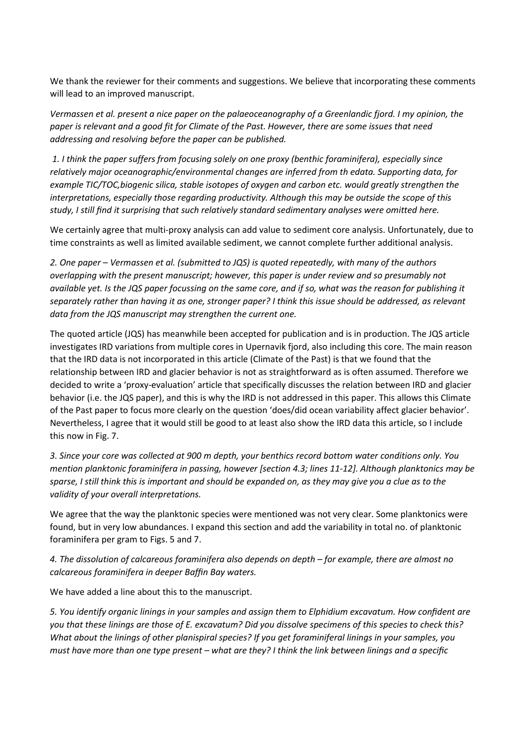We thank the reviewer for their comments and suggestions. We believe that incorporating these comments will lead to an improved manuscript.

*Vermassen et al. present a nice paper on the palaeoceanography of a Greenlandic fjord. I my opinion, the paper is relevant and a good fit for Climate of the Past. However, there are some issues that need addressing and resolving before the paper can be published.* 

*1. I think the paper suffers from focusing solely on one proxy (benthic foraminifera), especially since relatively major oceanographic/environmental changes are inferred from th edata. Supporting data, for example TIC/TOC,biogenic silica, stable isotopes of oxygen and carbon etc. would greatly strengthen the interpretations, especially those regarding productivity. Although this may be outside the scope of this study, I still find it surprising that such relatively standard sedimentary analyses were omitted here.*

We certainly agree that multi-proxy analysis can add value to sediment core analysis. Unfortunately, due to time constraints as well as limited available sediment, we cannot complete further additional analysis.

*2. One paper – Vermassen et al. (submitted to JQS) is quoted repeatedly, with many of the authors overlapping with the present manuscript; however, this paper is under review and so presumably not available yet. Is the JQS paper focussing on the same core, and if so, what was the reason for publishing it separately rather than having it as one, stronger paper? I think this issue should be addressed, as relevant data from the JQS manuscript may strengthen the current one.*

The quoted article (JQS) has meanwhile been accepted for publication and is in production. The JQS article investigates IRD variations from multiple cores in Upernavik fjord, also including this core. The main reason that the IRD data is not incorporated in this article (Climate of the Past) is that we found that the relationship between IRD and glacier behavior is not as straightforward as is often assumed. Therefore we decided to write a 'proxy-evaluation' article that specifically discusses the relation between IRD and glacier behavior (i.e. the JQS paper), and this is why the IRD is not addressed in this paper. This allows this Climate of the Past paper to focus more clearly on the question 'does/did ocean variability affect glacier behavior'. Nevertheless, I agree that it would still be good to at least also show the IRD data this article, so I include this now in Fig. 7.

*3. Since your core was collected at 900 m depth, your benthics record bottom water conditions only. You mention planktonic foraminifera in passing, however [section 4.3; lines 11-12]. Although planktonics may be sparse, I still think this is important and should be expanded on, as they may give you a clue as to the validity of your overall interpretations.*

We agree that the way the planktonic species were mentioned was not very clear. Some planktonics were found, but in very low abundances. I expand this section and add the variability in total no. of planktonic foraminifera per gram to Figs. 5 and 7.

*4. The dissolution of calcareous foraminifera also depends on depth – for example, there are almost no calcareous foraminifera in deeper Baffin Bay waters.*

We have added a line about this to the manuscript.

*5. You identify organic linings in your samples and assign them to Elphidium excavatum. How confident are you that these linings are those of E. excavatum? Did you dissolve specimens of this species to check this? What about the linings of other planispiral species? If you get foraminiferal linings in your samples, you must have more than one type present – what are they? I think the link between linings and a specific*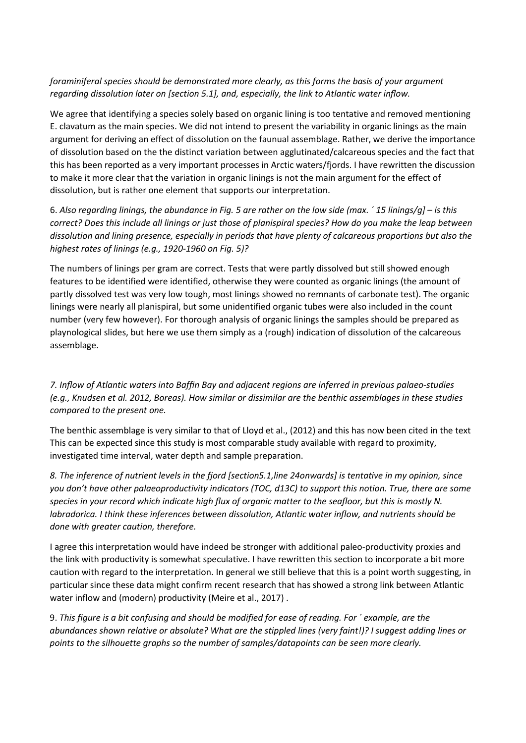## *foraminiferal species should be demonstrated more clearly, as this forms the basis of your argument regarding dissolution later on [section 5.1], and, especially, the link to Atlantic water inflow.*

We agree that identifying a species solely based on organic lining is too tentative and removed mentioning E. clavatum as the main species. We did not intend to present the variability in organic linings as the main argument for deriving an effect of dissolution on the faunual assemblage. Rather, we derive the importance of dissolution based on the the distinct variation between agglutinated/calcareous species and the fact that this has been reported as a very important processes in Arctic waters/fjords. I have rewritten the discussion to make it more clear that the variation in organic linings is not the main argument for the effect of dissolution, but is rather one element that supports our interpretation.

6. *Also regarding linings, the abundance in Fig. 5 are rather on the low side (max. ´ 15 linings/g] – is this correct? Does this include all linings or just those of planispiral species? How do you make the leap between dissolution and lining presence, especially in periods that have plenty of calcareous proportions but also the highest rates of linings (e.g., 1920-1960 on Fig. 5)?*

The numbers of linings per gram are correct. Tests that were partly dissolved but still showed enough features to be identified were identified, otherwise they were counted as organic linings (the amount of partly dissolved test was very low tough, most linings showed no remnants of carbonate test). The organic linings were nearly all planispiral, but some unidentified organic tubes were also included in the count number (very few however). For thorough analysis of organic linings the samples should be prepared as playnological slides, but here we use them simply as a (rough) indication of dissolution of the calcareous assemblage.

*7. Inflow of Atlantic waters into Baffin Bay and adjacent regions are inferred in previous palaeo-studies (e.g., Knudsen et al. 2012, Boreas). How similar or dissimilar are the benthic assemblages in these studies compared to the present one.*

The benthic assemblage is very similar to that of Lloyd et al., (2012) and this has now been cited in the text This can be expected since this study is most comparable study available with regard to proximity, investigated time interval, water depth and sample preparation.

*8. The inference of nutrient levels in the fjord [section5.1,line 24onwards] is tentative in my opinion, since you don't have other palaeoproductivity indicators (TOC, d13C) to support this notion. True, there are some species in your record which indicate high flux of organic matter to the seafloor, but this is mostly N. labradorica. I think these inferences between dissolution, Atlantic water inflow, and nutrients should be done with greater caution, therefore.* 

I agree this interpretation would have indeed be stronger with additional paleo-productivity proxies and the link with productivity is somewhat speculative. I have rewritten this section to incorporate a bit more caution with regard to the interpretation. In general we still believe that this is a point worth suggesting, in particular since these data might confirm recent research that has showed a strong link between Atlantic water inflow and (modern) productivity (Meire et al., 2017) .

9. *This figure is a bit confusing and should be modified for ease of reading. For ´ example, are the abundances shown relative or absolute? What are the stippled lines (very faint!)? I suggest adding lines or points to the silhouette graphs so the number of samples/datapoints can be seen more clearly.*